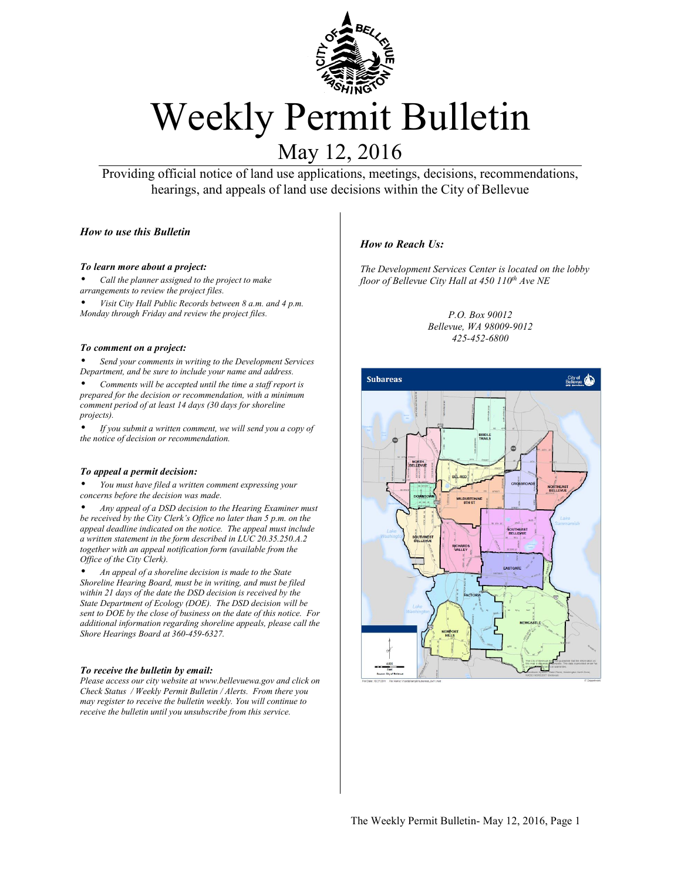

# Weekly Permit Bulletin

# May 12, 2016

Providing official notice of land use applications, meetings, decisions, recommendations, hearings, and appeals of land use decisions within the City of Bellevue

#### *How to use this Bulletin*

#### *To learn more about a project:*

• *Call the planner assigned to the project to make arrangements to review the project files.* 

• *Visit City Hall Public Records between 8 a.m. and 4 p.m. Monday through Friday and review the project files.*

#### *To comment on a project:*

• *Send your comments in writing to the Development Services Department, and be sure to include your name and address.* 

• *Comments will be accepted until the time a staff report is prepared for the decision or recommendation, with a minimum comment period of at least 14 days (30 days for shoreline projects).* 

• *If you submit a written comment, we will send you a copy of the notice of decision or recommendation.*

#### *To appeal a permit decision:*

• *You must have filed a written comment expressing your concerns before the decision was made.*

• *Any appeal of a DSD decision to the Hearing Examiner must be received by the City Clerk's Office no later than 5 p.m. on the appeal deadline indicated on the notice. The appeal must include a written statement in the form described in LUC 20.35.250.A.2 together with an appeal notification form (available from the Office of the City Clerk).* 

• *An appeal of a shoreline decision is made to the State Shoreline Hearing Board, must be in writing, and must be filed within 21 days of the date the DSD decision is received by the State Department of Ecology (DOE). The DSD decision will be sent to DOE by the close of business on the date of this notice. For additional information regarding shoreline appeals, please call the Shore Hearings Board at 360-459-6327.*

#### *To receive the bulletin by email:*

*Please access our city website at www.bellevuewa.gov and click on Check Status / Weekly Permit Bulletin / Alerts. From there you may register to receive the bulletin weekly. You will continue to receive the bulletin until you unsubscribe from this service.* 

#### *How to Reach Us:*

*The Development Services Center is located on the lobby floor of Bellevue City Hall at 450 110th Ave NE* 

> *P.O. Box 90012 Bellevue, WA 98009-9012 425-452-6800*



The Weekly Permit Bulletin- May 12, 2016, Page 1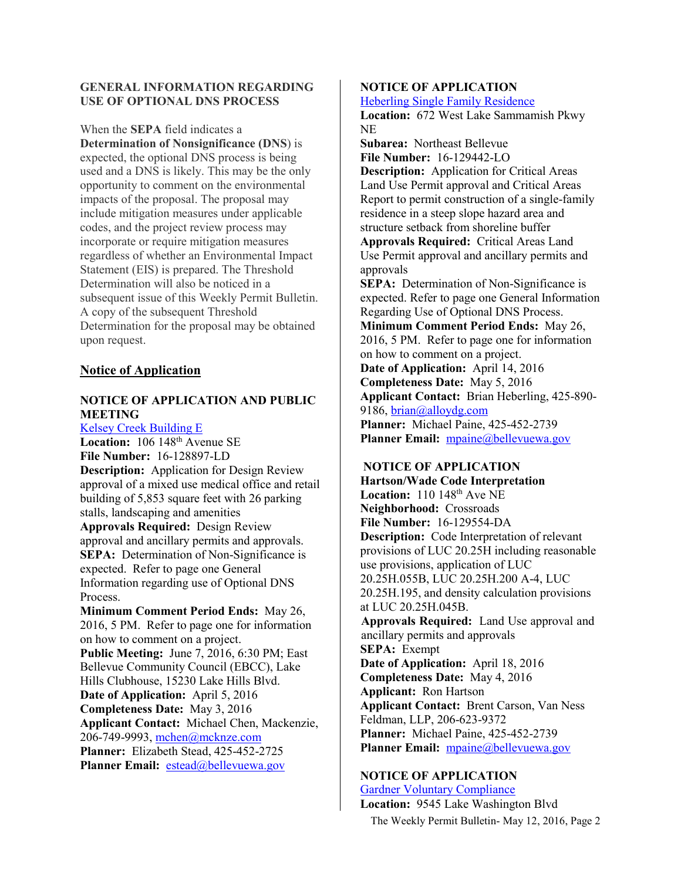#### **GENERAL INFORMATION REGARDING USE OF OPTIONAL DNS PROCESS**

When the **SEPA** field indicates a **Determination of Nonsignificance (DNS**) is expected, the optional DNS process is being used and a DNS is likely. This may be the only opportunity to comment on the environmental impacts of the proposal. The proposal may include mitigation measures under applicable codes, and the project review process may incorporate or require mitigation measures regardless of whether an Environmental Impact Statement (EIS) is prepared. The Threshold Determination will also be noticed in a subsequent issue of this Weekly Permit Bulletin. A copy of the subsequent Threshold Determination for the proposal may be obtained upon request.

# **Notice of Application**

# **NOTICE OF APPLICATION AND PUBLIC MEETING**

[Kelsey Creek Building E](http://www.bellevuewa.gov/UserFiles/Servers/Server_4779004/file/pdf/land Use/16-128897-LD.pdf) Location: 106 148<sup>th</sup> Avenue SE **File Number:** 16-128897-LD **Description:** Application for Design Review approval of a mixed use medical office and retail building of 5,853 square feet with 26 parking stalls, landscaping and amenities **Approvals Required:** Design Review approval and ancillary permits and approvals. **SEPA:** Determination of Non-Significance is expected. Refer to page one General Information regarding use of Optional DNS Process. **Minimum Comment Period Ends:** May 26, 2016, 5 PM. Refer to page one for information on how to comment on a project. **Public Meeting:** June 7, 2016, 6:30 PM; East Bellevue Community Council (EBCC), Lake Hills Clubhouse, 15230 Lake Hills Blvd. **Date of Application:** April 5, 2016 **Completeness Date:** May 3, 2016 **Applicant Contact:** Michael Chen, Mackenzie,

206-749-9993, [mchen@mcknze.com](mailto:mchen@mcknze.com)  **Planner:** Elizabeth Stead, 425-452-2725 Planner Email: [estead@bellevuewa.gov](mailto:estead@bellevuewa.gov)

### **NOTICE OF APPLICATION**

[Heberling Single Family Residence](http://www.bellevuewa.gov/UserFiles/Servers/Server_4779004/file/pdf/land Use/16-129442-LO.pdf)

**Location:** 672 West Lake Sammamish Pkwy NE

**Subarea:** Northeast Bellevue **File Number:** 16-129442-LO

**Description:** Application for Critical Areas Land Use Permit approval and Critical Areas Report to permit construction of a single-family residence in a steep slope hazard area and structure setback from shoreline buffer

**Approvals Required:** Critical Areas Land Use Permit approval and ancillary permits and approvals

**SEPA:** Determination of Non-Significance is expected. Refer to page one General Information Regarding Use of Optional DNS Process.

**Minimum Comment Period Ends:** May 26, 2016, 5 PM. Refer to page one for information on how to comment on a project.

**Date of Application:** April 14, 2016

**Completeness Date:** May 5, 2016 **Applicant Contact:** Brian Heberling, 425-890- 9186, [brian@alloydg.com](mailto:brian@alloydg.com)  **Planner:** Michael Paine, 425-452-2739

Planner Email: [mpaine@bellevuewa.gov](mailto:mpaine@bellevuewa.gov)

# **NOTICE OF APPLICATION**

**Hartson/Wade Code Interpretation Location:** 110 148<sup>th</sup> Ave NE **Neighborhood:** Crossroads **File Number:** 16-129554-DA **Description:** Code Interpretation of relevant provisions of LUC 20.25H including reasonable use provisions, application of LUC 20.25H.055B, LUC 20.25H.200 A-4, LUC 20.25H.195, and density calculation provisions at LUC 20.25H.045B. **Approvals Required:** Land Use approval and ancillary permits and approvals **SEPA:** Exempt **Date of Application:** April 18, 2016 **Completeness Date:** May 4, 2016 **Applicant:** Ron Hartson **Applicant Contact:** Brent Carson, Van Ness Feldman, LLP, 206-623-9372 **Planner:** Michael Paine, 425-452-2739 Planner Email: mpaine@bellevuewa.gov

#### **NOTICE OF APPLICATION**

The Weekly Permit Bulletin- May 12, 2016, Page 2 [Gardner Voluntary Compliance](http://www.bellevuewa.gov/UserFiles/Servers/Server_4779004/file/pdf/Land Use/16-130929-LO.pdf) **Location:** 9545 Lake Washington Blvd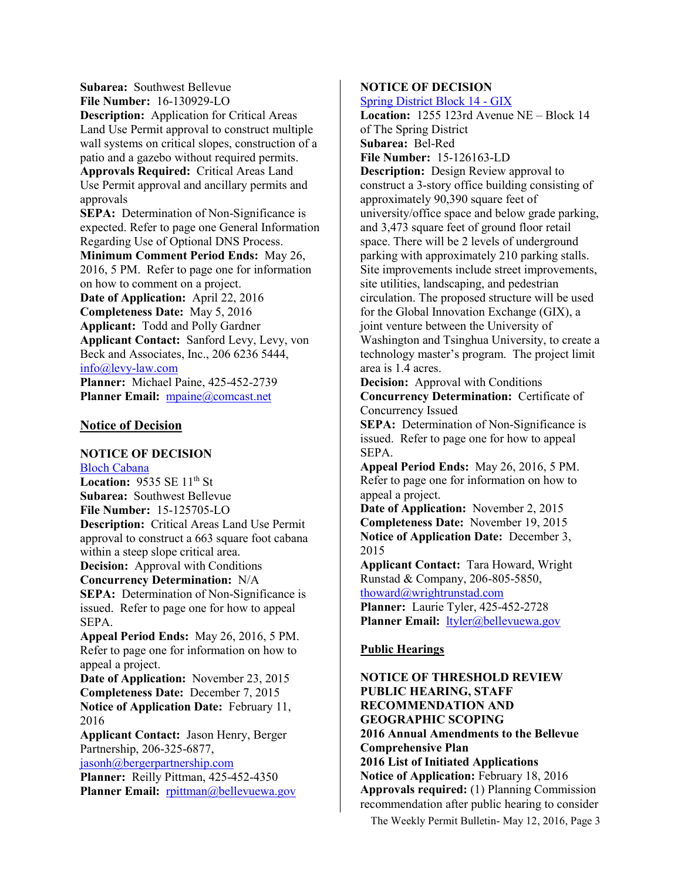**Subarea:** Southwest Bellevue **File Number:** 16-130929-LO

**Description:** Application for Critical Areas Land Use Permit approval to construct multiple wall systems on critical slopes, construction of a patio and a gazebo without required permits. **Approvals Required:** Critical Areas Land Use Permit approval and ancillary permits and approvals

**SEPA:** Determination of Non-Significance is expected. Refer to page one General Information Regarding Use of Optional DNS Process.

**Minimum Comment Period Ends:** May 26, 2016, 5 PM. Refer to page one for information on how to comment on a project.

**Date of Application:** April 22, 2016 **Completeness Date:** May 5, 2016 **Applicant:** Todd and Polly Gardner **Applicant Contact:** Sanford Levy, Levy, von Beck and Associates, Inc., 206 6236 5444, [info@levy-law.com](mailto:info@levy-law.com) 

**Planner:** Michael Paine, 425-452-2739 Planner Email: [mpaine@comcast.net](mailto:mpaine@comcast.net)

#### **Notice of Decision**

#### **NOTICE OF DECISION**

[Bloch Cabana](http://www.bellevuewa.gov/UserFiles/Servers/Server_4779004/file/pdf/land Use/15-125705-LO_Bloch_Cabana.pdf) **Location: 9535 SE 11th St Subarea:** Southwest Bellevue **File Number:** 15-125705-LO **Description:** Critical Areas Land Use Permit approval to construct a 663 square foot cabana within a steep slope critical area. **Decision:** Approval with Conditions **Concurrency Determination:** N/A **SEPA:** Determination of Non-Significance is issued. Refer to page one for how to appeal SEPA. **Appeal Period Ends:** May 26, 2016, 5 PM. Refer to page one for information on how to appeal a project. **Date of Application:** November 23, 2015 **Completeness Date:** December 7, 2015 **Notice of Application Date:** February 11, 2016 **Applicant Contact:** Jason Henry, Berger Partnership, 206-325-6877, [jasonh@bergerpartnership.com](mailto:jasonh@bergerpartnership.com)  **Planner:** Reilly Pittman, 425-452-4350 Planner Email: [rpittman@bellevuewa.gov](mailto:rpittman@bellevuewa.gov)

# **NOTICE OF DECISION**

[Spring District Block 14 - GIX](http://www.bellevuewa.gov/UserFiles/Servers/Server_4779004/file/pdf/land Use/15-126463-LD_GIX.pdf)

**Location:** 1255 123rd Avenue NE – Block 14 of The Spring District **Subarea:** Bel-Red **File Number:** 15-126163-LD **Description:** Design Review approval to construct a 3-story office building consisting of approximately 90,390 square feet of university/office space and below grade parking, and 3,473 square feet of ground floor retail space. There will be 2 levels of underground parking with approximately 210 parking stalls. Site improvements include street improvements, site utilities, landscaping, and pedestrian circulation. The proposed structure will be used for the Global Innovation Exchange (GIX), a joint venture between the University of Washington and Tsinghua University, to create a technology master's program. The project limit area is 1.4 acres.

**Decision:** Approval with Conditions **Concurrency Determination:** Certificate of Concurrency Issued

**SEPA:** Determination of Non-Significance is issued. Refer to page one for how to appeal SEPA.

**Appeal Period Ends:** May 26, 2016, 5 PM. Refer to page one for information on how to appeal a project.

**Date of Application:** November 2, 2015 **Completeness Date:** November 19, 2015 **Notice of Application Date:** December 3, 2015

**Applicant Contact:** Tara Howard, Wright Runstad & Company, 206-805-5850, [thoward@wrightrunstad.com](mailto:thoward@wrightrunstad.com) 

**Planner:** Laurie Tyler, 425-452-2728 Planner Email: ltyler@bellevuewa.gov

# **Public Hearings**

**NOTICE OF THRESHOLD REVIEW PUBLIC HEARING, STAFF RECOMMENDATION AND GEOGRAPHIC SCOPING 2016 Annual Amendments to the Bellevue Comprehensive Plan 2016 List of Initiated Applications Notice of Application:** February 18, 2016 **Approvals required:** (1) Planning Commission recommendation after public hearing to consider

The Weekly Permit Bulletin- May 12, 2016, Page 3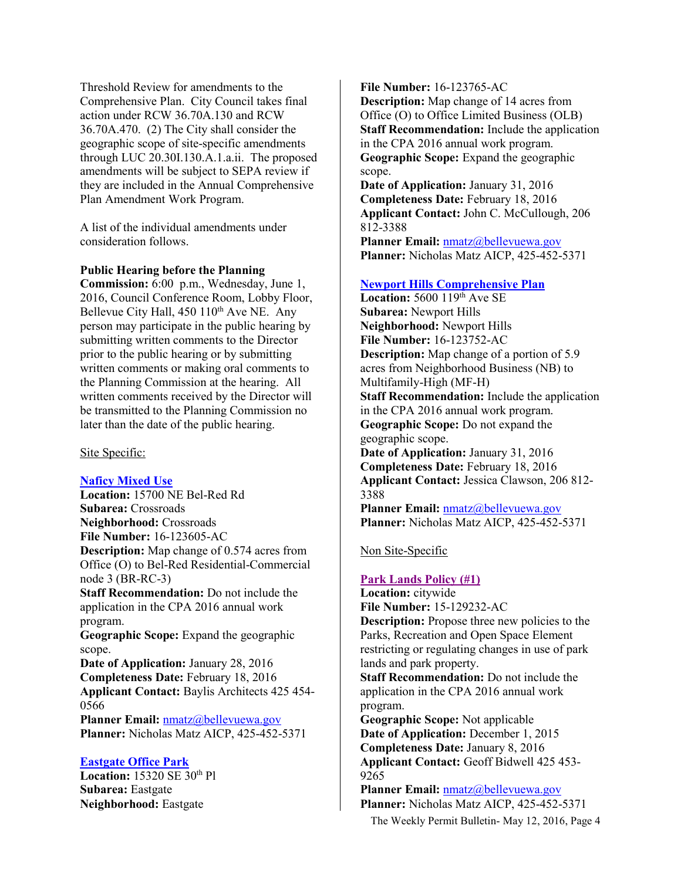Threshold Review for amendments to the Comprehensive Plan. City Council takes final action under RCW 36.70A.130 and RCW 36.70A.470. (2) The City shall consider the geographic scope of site-specific amendments through LUC 20.30I.130.A.1.a.ii. The proposed amendments will be subject to SEPA review if they are included in the Annual Comprehensive Plan Amendment Work Program.

A list of the individual amendments under consideration follows.

#### **Public Hearing before the Planning**

**Commission:** 6:00 p.m., Wednesday, June 1, 2016, Council Conference Room, Lobby Floor, Bellevue City Hall, 450 110<sup>th</sup> Ave NE. Any person may participate in the public hearing by submitting written comments to the Director prior to the public hearing or by submitting written comments or making oral comments to the Planning Commission at the hearing. All written comments received by the Director will be transmitted to the Planning Commission no later than the date of the public hearing.

Site Specific:

#### **[Naficy Mixed Use](http://www.bellevuewa.gov/UserFiles/Servers/Server_4779004/file/pdf/land Use/16-123605-AC_Naficy_Mixed_Use.pdf)**

**Location:** 15700 NE Bel-Red Rd **Subarea:** Crossroads **Neighborhood:** Crossroads **File Number:** 16-123605-AC **Description:** Map change of 0.574 acres from Office (O) to Bel-Red Residential-Commercial node 3 (BR-RC-3) **Staff Recommendation:** Do not include the application in the CPA 2016 annual work program. **Geographic Scope:** Expand the geographic scope. **Date of Application:** January 28, 2016

**Completeness Date:** February 18, 2016 **Applicant Contact:** Baylis Architects 425 454- 0566

Planner Email: **nmatz@bellevuewa.gov Planner:** Nicholas Matz AICP, 425-452-5371

#### **[Eastgate Office Park](http://www.bellevuewa.gov/UserFiles/Servers/Server_4779004/file/pdf/land Use/16-123765-AC_Eastgate_Office_Park.pdf)**

**Location:** 15320 SE 30<sup>th</sup> Pl **Subarea:** Eastgate **Neighborhood:** Eastgate

**File Number:** 16-123765-AC **Description:** Map change of 14 acres from Office (O) to Office Limited Business (OLB) **Staff Recommendation:** Include the application in the CPA 2016 annual work program. **Geographic Scope:** Expand the geographic scope.

**Date of Application:** January 31, 2016 **Completeness Date:** February 18, 2016 **Applicant Contact:** John C. McCullough, 206 812-3388

**Planner Email:** [nmatz@bellevuewa.gov](mailto:nmatz@bellevuewa.gov)  **Planner:** Nicholas Matz AICP, 425-452-5371

#### **[Newport Hills Comprehensive Plan](http://www.bellevuewa.gov/UserFiles/Servers/Server_4779004/file/pdf/land Use/16-123752-AC_Newport_Hills.pdf)**

**Location:** 5600 119<sup>th</sup> Ave SE **Subarea:** Newport Hills **Neighborhood:** Newport Hills **File Number:** 16-123752-AC **Description:** Map change of a portion of 5.9 acres from Neighborhood Business (NB) to Multifamily-High (MF-H) **Staff Recommendation:** Include the application in the CPA 2016 annual work program. **Geographic Scope:** Do not expand the geographic scope. **Date of Application:** January 31, 2016 **Completeness Date:** February 18, 2016 **Applicant Contact:** Jessica Clawson, 206 812- 3388 Planner Email: nmatz@bellevuewa.gov

**Planner:** Nicholas Matz AICP, 425-452-5371

#### Non Site-Specific

#### **[Park Lands Policy \(#1\)](http://www.bellevuewa.gov/UserFiles/Servers/Server_4779004/file/pdf/land Use/Parklandspolicy1TRstaffreport2016DS3.pdf)**

**Location:** citywide **File Number:** 15-129232-AC **Description:** Propose three new policies to the Parks, Recreation and Open Space Element restricting or regulating changes in use of park lands and park property.

**Staff Recommendation:** Do not include the application in the CPA 2016 annual work program.

**Geographic Scope:** Not applicable **Date of Application:** December 1, 2015 **Completeness Date:** January 8, 2016 **Applicant Contact:** Geoff Bidwell 425 453- 9265

**Planner Email:** [nmatz@bellevuewa.gov](mailto:nmatz@bellevuewa.gov)  **Planner:** Nicholas Matz AICP, 425-452-5371

The Weekly Permit Bulletin- May 12, 2016, Page 4